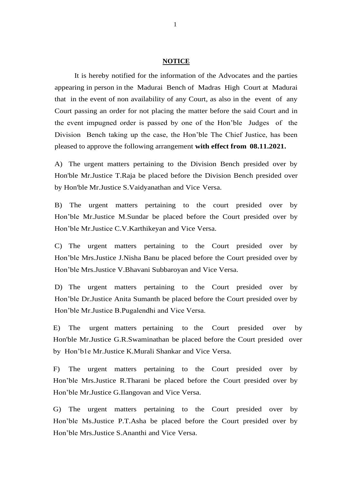## **NOTICE**

It is hereby notified for the information of the Advocates and the parties appearing in person in the Madurai Bench of Madras High Court at Madurai that in the event of non availability of any Court, as also in the event of any Court passing an order for not placing the matter before the said Court and in the event impugned order is passed by one of the Hon'ble Judges of the Division Bench taking up the case, the Hon'ble The Chief Justice, has been pleased to approve the following arrangement **with effect from 08.11.2021.**

A) The urgent matters pertaining to the Division Bench presided over by Hon'ble Mr.Justice T.Raja be placed before the Division Bench presided over by Hon'ble Mr.Justice S.Vaidyanathan and Vice Versa.

B) The urgent matters pertaining to the court presided over by Hon'ble Mr.Justice M.Sundar be placed before the Court presided over by Hon'ble Mr.Justice C.V.Karthikeyan and Vice Versa.

C) The urgent matters pertaining to the Court presided over by Hon'ble Mrs.Justice J.Nisha Banu be placed before the Court presided over by Hon'ble Mrs.Justice V.Bhavani Subbaroyan and Vice Versa.

D) The urgent matters pertaining to the Court presided over by Hon'ble Dr.Justice Anita Sumanth be placed before the Court presided over by Hon'ble Mr.Justice B.Pugalendhi and Vice Versa.

E) The urgent matters pertaining to the Court presided over by Hon'ble Mr.Justice G.R.Swaminathan be placed before the Court presided over by Hon'b1e Mr.Justice K.Murali Shankar and Vice Versa.

F) The urgent matters pertaining to the Court presided over by Hon'ble Mrs.Justice R.Tharani be placed before the Court presided over by Hon'ble Mr.Justice G.Ilangovan and Vice Versa.

G) The urgent matters pertaining to the Court presided over by Hon'ble Ms.Justice P.T.Asha be placed before the Court presided over by Hon'ble Mrs.Justice S.Ananthi and Vice Versa.